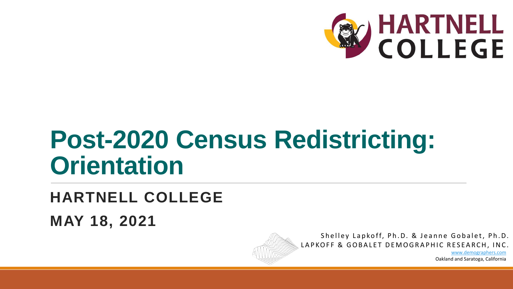

# **Post-2020 Census Redistricting: Orientation**

#### **HARTNELL COLLEGE MAY 18, 2021**



Shelley Lapkoff, Ph.D. & Jeanne Gobalet, Ph.D. LAPKOFF & GOBALET DEMOGRAPHIC RESEARCH, INC.

> [www.demographers.com](http://www.demographers.com/) Oakland and Saratoga, California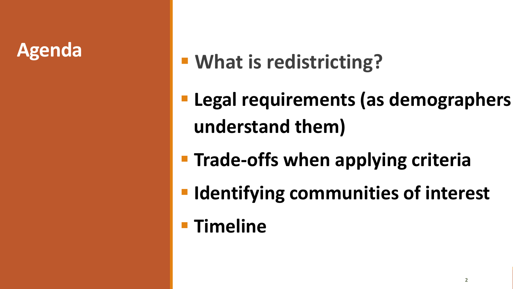#### **Agenda**

## **What is redistricting?**

- **Legal requirements (as demographers understand them)**
- **Trade-offs when applying criteria**
- **IDENTIFY COMMUNITIES OF INTERTY**
- **Timeline**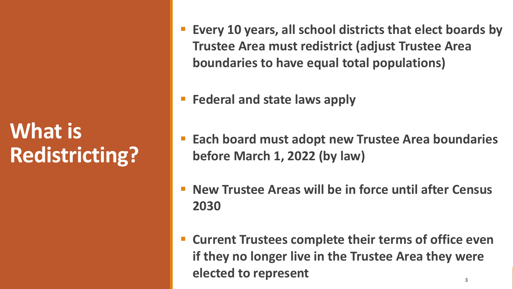## **What is Redistricting?**

- **Every 10 years, all school districts that elect boards by Trustee Area must redistrict (adjust Trustee Area boundaries to have equal total populations)**
- **Federal and state laws apply**
- **Each board must adopt new Trustee Area boundaries before March 1, 2022 (by law)**
- **New Trustee Areas will be in force until after Census 2030**
- **Current Trustees complete their terms of office even if they no longer live in the Trustee Area they were elected to represent**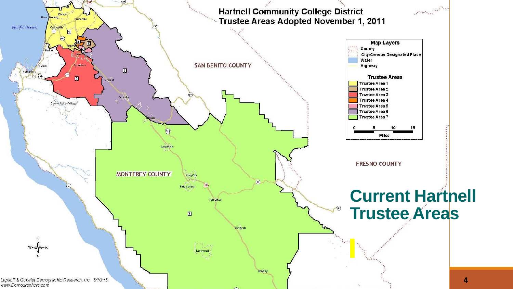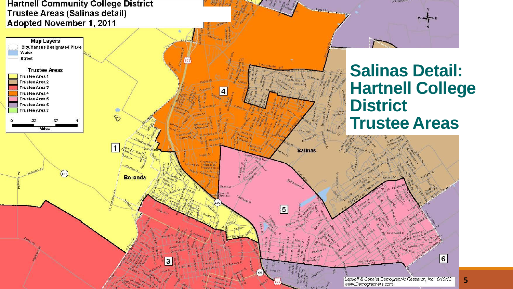#### **Hartnell Community College District** Trustee Areas (Salinas detail) Adopted November 1, 2011



**GIG Nativities** 

REBECRE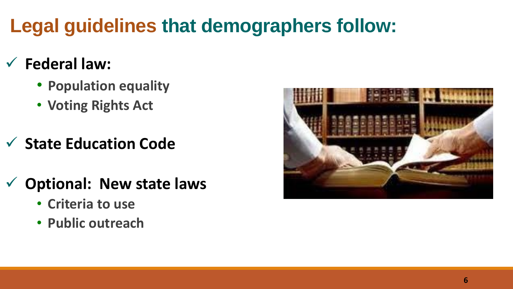### **Legal guidelines that demographers follow:**

#### **Federal law:**

- **Population equality**
- **Voting Rights Act**
- **State Education Code**
- **Optional: New state laws**
	- **Criteria to use**
	- **Public outreach**

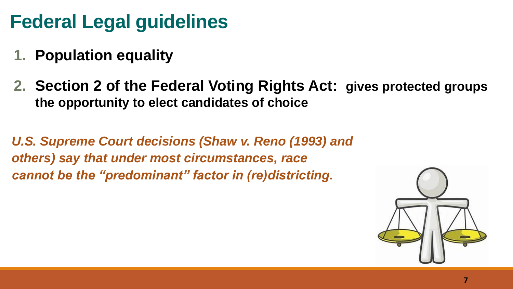### **Federal Legal guidelines**

- **1. Population equality**
- **2. Section 2 of the Federal Voting Rights Act: gives protected groups the opportunity to elect candidates of choice**

*U.S. Supreme Court decisions (Shaw v. Reno (1993) and others) say that under most circumstances, race cannot be the "predominant" factor in (re)districting.* 

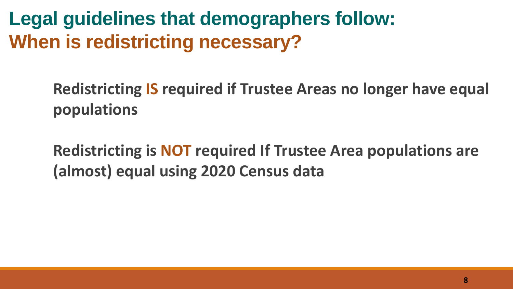**Legal guidelines that demographers follow: When is redistricting necessary?**

> **Redistricting IS required if Trustee Areas no longer have equal populations**

**Redistricting is NOT required If Trustee Area populations are (almost) equal using 2020 Census data**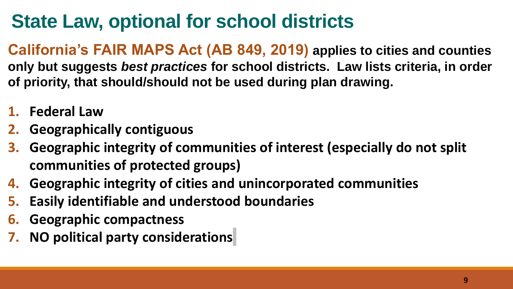### **State Law, optional for school districts**

**California's FAIR MAPS Act (AB 849, 2019) applies to cities and counties only but suggests** *best practices* **for school districts. Law lists criteria, in order of priority, that should/should not be used during plan drawing.**

- **1. Federal Law**
- **2. Geographically contiguous**
- **3. Geographic integrity of communities of interest (especially do not split communities of protected groups)**
- **4. Geographic integrity of cities and unincorporated communities**
- **5. Easily identifiable and understood boundaries**
- **6. Geographic compactness**
- **7. NO political party considerations**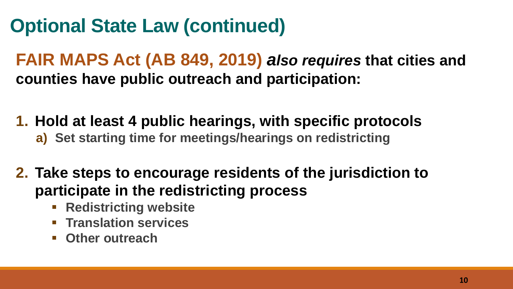### **Optional State Law (continued)**

**FAIR MAPS Act (AB 849, 2019)** *also requires* **that cities and counties have public outreach and participation:** 

**1. Hold at least 4 public hearings, with specific protocols**

- **a) Set starting time for meetings/hearings on redistricting**
- **2. Take steps to encourage residents of the jurisdiction to participate in the redistricting process** 
	- **Redistricting website**
	- **Translation services**
	- **Other outreach**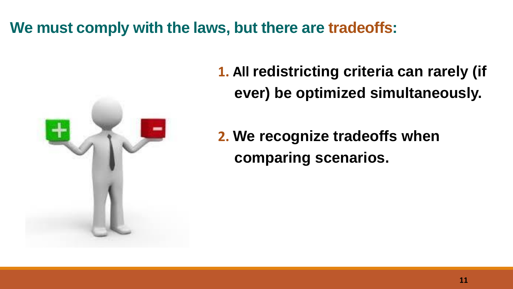#### **We must comply with the laws, but there are tradeoffs:**



**1. All redistricting criteria can rarely (if ever) be optimized simultaneously.**

**2. We recognize tradeoffs when comparing scenarios.**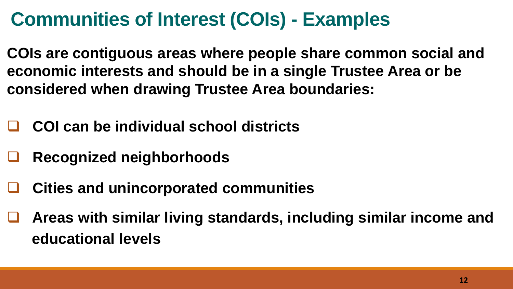### **Communities of Interest (COIs) - Examples**

**COIs are contiguous areas where people share common social and economic interests and should be in a single Trustee Area or be considered when drawing Trustee Area boundaries:**

- **COI can be individual school districts**
- **Recognized neighborhoods**
- **Cities and unincorporated communities**
- **Areas with similar living standards, including similar income and educational levels**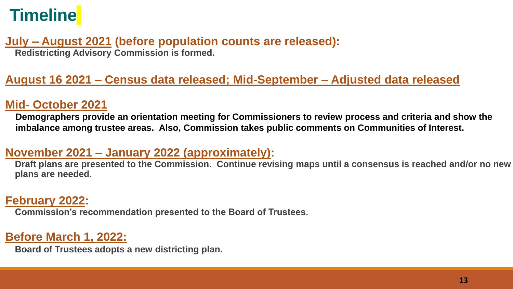### **Timeline**

#### **July – August 2021 (before population counts are released): Redistricting Advisory Commission is formed.**

#### **August 16 2021 – Census data released; Mid-September – Adjusted data released**

#### **Mid- October 2021**

**Demographers provide an orientation meeting for Commissioners to review process and criteria and show the imbalance among trustee areas. Also, Commission takes public comments on Communities of Interest.** 

#### **November 2021 – January 2022 (approximately):**

**Draft plans are presented to the Commission. Continue revising maps until a consensus is reached and/or no new plans are needed.**

#### **February 2022:**

**Commission's recommendation presented to the Board of Trustees.**

#### **Before March 1, 2022:**

**Board of Trustees adopts a new districting plan.**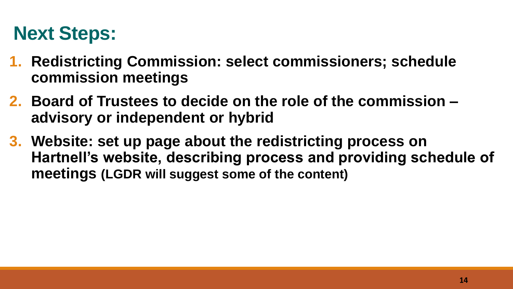### **Next Steps:**

- **1. Redistricting Commission: select commissioners; schedule commission meetings**
- **2. Board of Trustees to decide on the role of the commission – advisory or independent or hybrid**
- **3. Website: set up page about the redistricting process on Hartnell's website, describing process and providing schedule of meetings (LGDR will suggest some of the content)**